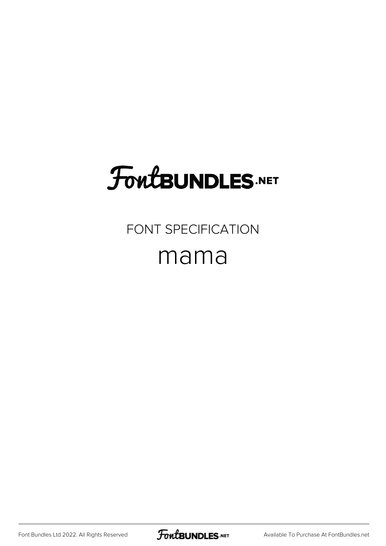# **FoutBUNDLES.NET**

### FONT SPECIFICATION mama

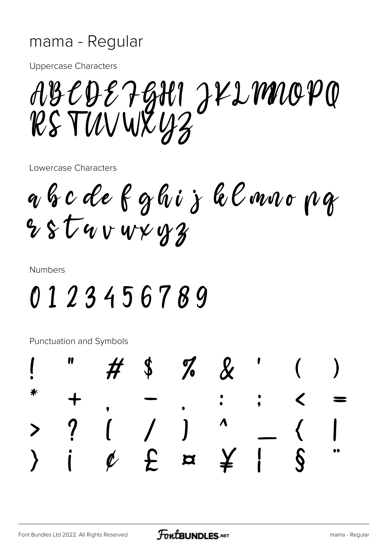#### mama - Regular

**Uppercase Characters** 

ABCDE7GHI JKLMIOPO RS TUVWXUZ

Lowercase Characters

a b c de f g hi j k l mn o p g  $8554v$  v v  $42$ 

**Numbers** 

### 0123456789

Punctuation and Symbols

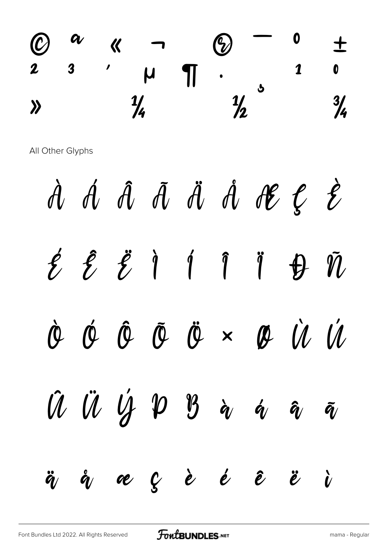

All Other Glyphs

Á Â Ã Ä Ä Å Æ Ç  $\hat{\mathbf{z}}$  $\hat{\mathcal{A}}$  $\hat{z}$   $\hat{z}$   $\hat{z}$  $\hat{1}$   $\hat{1}$  $\hat{\mathbf{z}}$  $\ddot{\int}$  $\tilde{\mathbb{N}}$  $\bigoplus$  $\dot{U}$   $\dot{U}$  $\hat{\theta}$   $\tilde{\theta}$   $\ddot{\theta}$   $\times$  $\phi$  $\hat{\bm{\beta}}$  $\phi$ Û Ü Ý P B  $\grave{\textbf{q}}$  $\boldsymbol{\acute{\alpha}}$  $\bm{\hat{q}}_{\ell}$  $\tilde{\bm{q}}$ æçè é  $\hat{\mathbf{e}}$  $\ddot{\mathcal{E}}$  $\ddot{\bm{q}}$  $\mathring{\bm q}_l$  $\boldsymbol{\dot{\nu}}$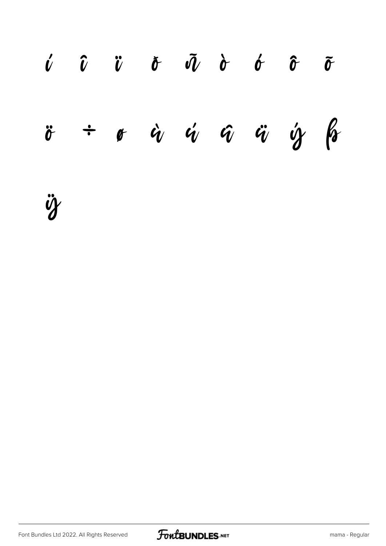

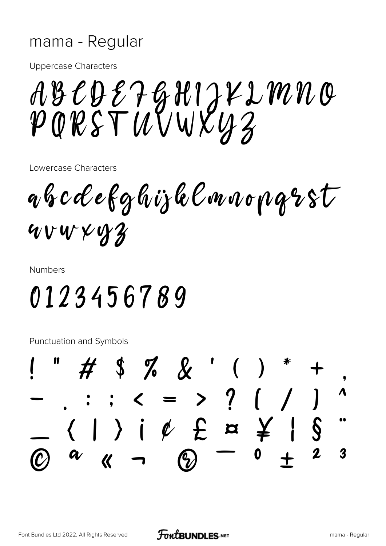#### mama - Regular

**Uppercase Characters** 

ABCDE7GHIJKLMNO<br>PQRSTUVWXYZ

Lowercase Characters

abcdefghijklmnopgrst uvwxyz

**Numbers** 

## 0123456789

Punctuation and Symbols

#\$%&'( . . . . . = > ? ( / )<br>( | ) |  $\ell$  £  $\approx$   $\frac{2}{7}$  |  $\sqrt{$  $\boldsymbol{3}$ G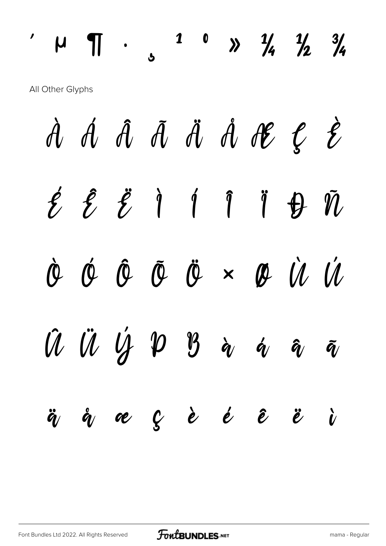#### 1 0  $\frac{1}{4}$   $\frac{1}{2}$   $\frac{3}{4}$  $\P$  .  $\mathcal{L}_{\mathcal{L}}$  $\mu$ All Other Glyphs À Á Â Ã Ä Ä Å Æ Ç  $\hat{\mathcal{E}}$  $\hat{1}$  $\acute{z}$   $\acute{z}$   $\acute{l}$   $\acute{l}$  $\bigoplus$  $\tilde{\mathcal{U}}$  $\ddot{\int}$

 $\mathscr{U}$  $\hat{\bm{\rho}}$  $\boldsymbol{\phi}$  $\hat{\theta}$   $\tilde{\theta}$   $\ddot{\theta}$   $\times$   $\theta$   $\dot{\theta}$ 

 $\hat{U} \ \hat{U} \ \hat{U} \ \hat{Y} \ \hat{Y} \ \hat{y} \ \hat{a} \ \hat{a}$  $\tilde{\bm{q}}$ æ ç è é ê  $\mathring{\bm q}_l$  $\dot{v}$  $\ddot{\bm{q}}$  $\ddot{\mathcal{E}}$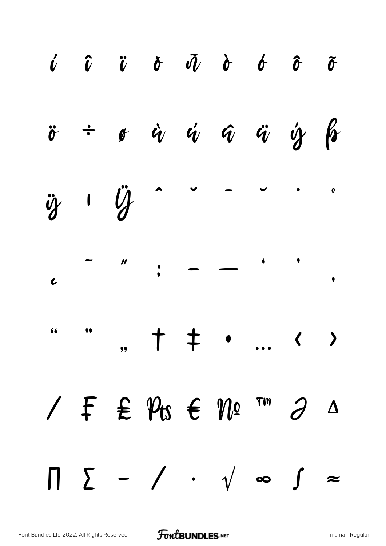